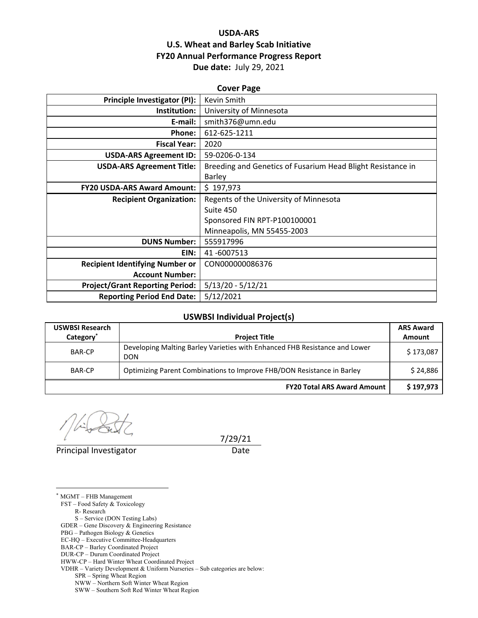### **USDA‐ARS U.S. Wheat and Barley Scab Initiative FY20 Annual Performance Progress Report Due date:** July 29, 2021

| <b>Cover Page</b>                      |                                                             |  |  |
|----------------------------------------|-------------------------------------------------------------|--|--|
| <b>Principle Investigator (PI):</b>    | Kevin Smith                                                 |  |  |
| Institution:                           | University of Minnesota                                     |  |  |
| E-mail:                                | smith376@umn.edu                                            |  |  |
| Phone:                                 | 612-625-1211                                                |  |  |
| <b>Fiscal Year:</b>                    | 2020                                                        |  |  |
| <b>USDA-ARS Agreement ID:</b>          | 59-0206-0-134                                               |  |  |
| <b>USDA-ARS Agreement Title:</b>       | Breeding and Genetics of Fusarium Head Blight Resistance in |  |  |
|                                        | Barley                                                      |  |  |
| <b>FY20 USDA-ARS Award Amount:</b>     | \$197,973                                                   |  |  |
| <b>Recipient Organization:</b>         | Regents of the University of Minnesota                      |  |  |
|                                        | Suite 450                                                   |  |  |
|                                        | Sponsored FIN RPT-P100100001                                |  |  |
|                                        | Minneapolis, MN 55455-2003                                  |  |  |
| <b>DUNS Number:</b>                    | 555917996                                                   |  |  |
| EIN:                                   | 41-6007513                                                  |  |  |
| <b>Recipient Identifying Number or</b> | CON000000086376                                             |  |  |
| <b>Account Number:</b>                 |                                                             |  |  |
| <b>Project/Grant Reporting Period:</b> | $5/13/20 - 5/12/21$                                         |  |  |
| <b>Reporting Period End Date:</b>      | 5/12/2021                                                   |  |  |

#### **USWBSI Individual Project(s)**

| <b>USWBSI Research</b> |                                                                                          | <b>ARS Award</b> |
|------------------------|------------------------------------------------------------------------------------------|------------------|
| Category <sup>*</sup>  | <b>Project Title</b>                                                                     | Amount           |
| <b>BAR-CP</b>          | Developing Malting Barley Varieties with Enhanced FHB Resistance and Lower<br><b>DON</b> | \$173,087        |
| <b>BAR-CP</b>          | Optimizing Parent Combinations to Improve FHB/DON Resistance in Barley                   | \$24,886         |
|                        | <b>FY20 Total ARS Award Amount</b>                                                       | \$197,973        |

Principal Investigator **Date** 

 $\overline{a}$ 

7/29/21

\* MGMT – FHB Management FST – Food Safety & Toxicology R- Research S – Service (DON Testing Labs) GDER – Gene Discovery & Engineering Resistance PBG – Pathogen Biology & Genetics EC-HQ – Executive Committee-Headquarters BAR-CP – Barley Coordinated Project DUR-CP – Durum Coordinated Project HWW-CP – Hard Winter Wheat Coordinated Project VDHR – Variety Development & Uniform Nurseries – Sub categories are below: SPR – Spring Wheat Region NWW – Northern Soft Winter Wheat Region

SWW – Southern Soft Red Winter Wheat Region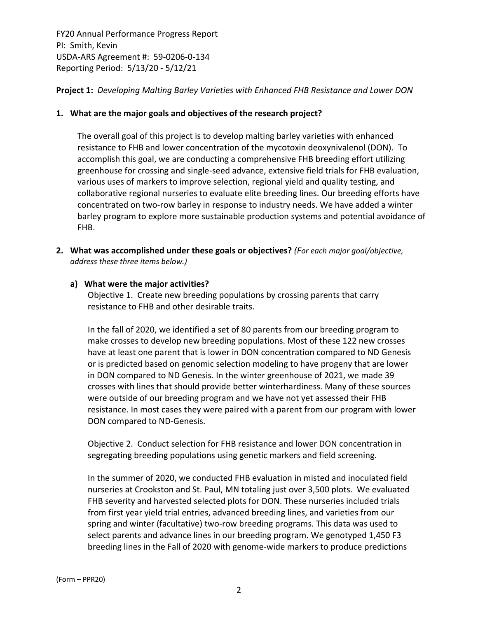**Project 1:** *Developing Malting Barley Varieties with Enhanced FHB Resistance and Lower DON*

#### **1. What are the major goals and objectives of the research project?**

The overall goal of this project is to develop malting barley varieties with enhanced resistance to FHB and lower concentration of the mycotoxin deoxynivalenol (DON). To accomplish this goal, we are conducting a comprehensive FHB breeding effort utilizing greenhouse for crossing and single‐seed advance, extensive field trials for FHB evaluation, various uses of markers to improve selection, regional yield and quality testing, and collaborative regional nurseries to evaluate elite breeding lines. Our breeding efforts have concentrated on two‐row barley in response to industry needs. We have added a winter barley program to explore more sustainable production systems and potential avoidance of FHB.

**2. What was accomplished under these goals or objectives?** *(For each major goal/objective, address these three items below.)*

#### **a) What were the major activities?**

Objective 1. Create new breeding populations by crossing parents that carry resistance to FHB and other desirable traits.

In the fall of 2020, we identified a set of 80 parents from our breeding program to make crosses to develop new breeding populations. Most of these 122 new crosses have at least one parent that is lower in DON concentration compared to ND Genesis or is predicted based on genomic selection modeling to have progeny that are lower in DON compared to ND Genesis. In the winter greenhouse of 2021, we made 39 crosses with lines that should provide better winterhardiness. Many of these sources were outside of our breeding program and we have not yet assessed their FHB resistance. In most cases they were paired with a parent from our program with lower DON compared to ND‐Genesis.

Objective 2. Conduct selection for FHB resistance and lower DON concentration in segregating breeding populations using genetic markers and field screening.

In the summer of 2020, we conducted FHB evaluation in misted and inoculated field nurseries at Crookston and St. Paul, MN totaling just over 3,500 plots. We evaluated FHB severity and harvested selected plots for DON. These nurseries included trials from first year yield trial entries, advanced breeding lines, and varieties from our spring and winter (facultative) two-row breeding programs. This data was used to select parents and advance lines in our breeding program. We genotyped 1,450 F3 breeding lines in the Fall of 2020 with genome‐wide markers to produce predictions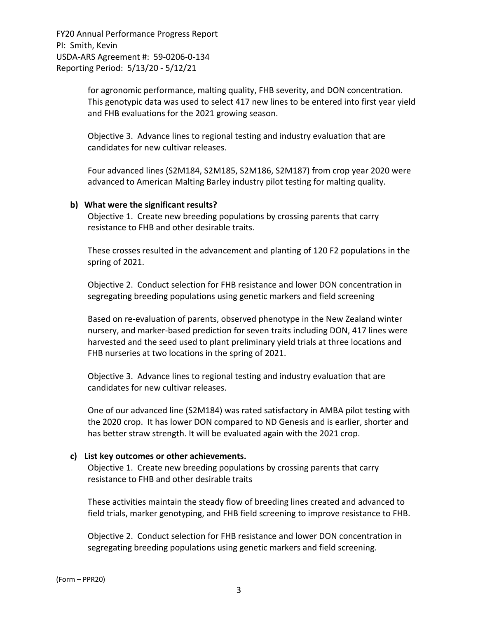> for agronomic performance, malting quality, FHB severity, and DON concentration. This genotypic data was used to select 417 new lines to be entered into first year yield and FHB evaluations for the 2021 growing season.

Objective 3. Advance lines to regional testing and industry evaluation that are candidates for new cultivar releases.

Four advanced lines (S2M184, S2M185, S2M186, S2M187) from crop year 2020 were advanced to American Malting Barley industry pilot testing for malting quality.

#### **b) What were the significant results?**

Objective 1. Create new breeding populations by crossing parents that carry resistance to FHB and other desirable traits.

These crosses resulted in the advancement and planting of 120 F2 populations in the spring of 2021.

Objective 2. Conduct selection for FHB resistance and lower DON concentration in segregating breeding populations using genetic markers and field screening

Based on re‐evaluation of parents, observed phenotype in the New Zealand winter nursery, and marker‐based prediction for seven traits including DON, 417 lines were harvested and the seed used to plant preliminary yield trials at three locations and FHB nurseries at two locations in the spring of 2021.

Objective 3. Advance lines to regional testing and industry evaluation that are candidates for new cultivar releases.

One of our advanced line (S2M184) was rated satisfactory in AMBA pilot testing with the 2020 crop. It has lower DON compared to ND Genesis and is earlier, shorter and has better straw strength. It will be evaluated again with the 2021 crop.

#### **c) List key outcomes or other achievements.**

Objective 1. Create new breeding populations by crossing parents that carry resistance to FHB and other desirable traits

These activities maintain the steady flow of breeding lines created and advanced to field trials, marker genotyping, and FHB field screening to improve resistance to FHB.

Objective 2. Conduct selection for FHB resistance and lower DON concentration in segregating breeding populations using genetic markers and field screening.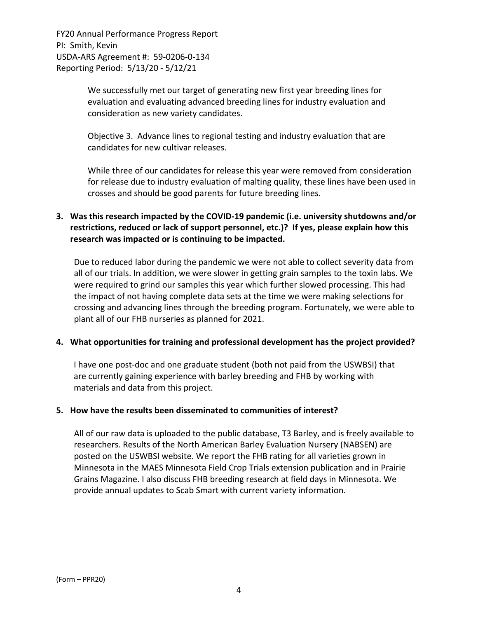> We successfully met our target of generating new first year breeding lines for evaluation and evaluating advanced breeding lines for industry evaluation and consideration as new variety candidates.

> Objective 3. Advance lines to regional testing and industry evaluation that are candidates for new cultivar releases.

While three of our candidates for release this year were removed from consideration for release due to industry evaluation of malting quality, these lines have been used in crosses and should be good parents for future breeding lines.

## **3. Was this research impacted by the COVID‐19 pandemic (i.e. university shutdowns and/or restrictions, reduced or lack of support personnel, etc.)? If yes, please explain how this research was impacted or is continuing to be impacted.**

Due to reduced labor during the pandemic we were not able to collect severity data from all of our trials. In addition, we were slower in getting grain samples to the toxin labs. We were required to grind our samples this year which further slowed processing. This had the impact of not having complete data sets at the time we were making selections for crossing and advancing lines through the breeding program. Fortunately, we were able to plant all of our FHB nurseries as planned for 2021.

#### **4. What opportunities for training and professional development has the project provided?**

I have one post‐doc and one graduate student (both not paid from the USWBSI) that are currently gaining experience with barley breeding and FHB by working with materials and data from this project.

#### **5. How have the results been disseminated to communities of interest?**

All of our raw data is uploaded to the public database, T3 Barley, and is freely available to researchers. Results of the North American Barley Evaluation Nursery (NABSEN) are posted on the USWBSI website. We report the FHB rating for all varieties grown in Minnesota in the MAES Minnesota Field Crop Trials extension publication and in Prairie Grains Magazine. I also discuss FHB breeding research at field days in Minnesota. We provide annual updates to Scab Smart with current variety information.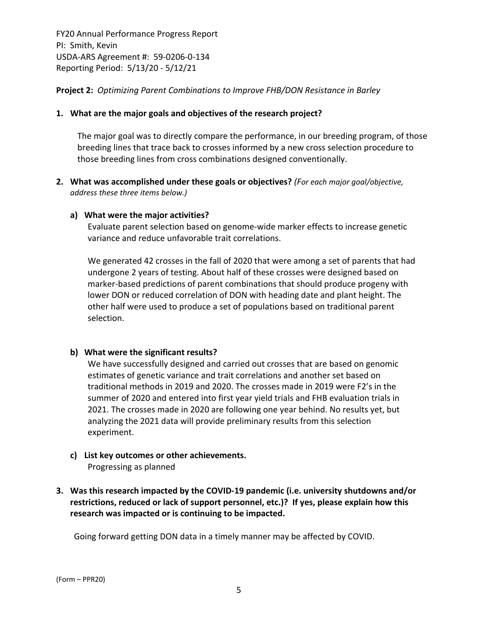**Project 2:** *Optimizing Parent Combinations to Improve FHB/DON Resistance in Barley*

#### **1. What are the major goals and objectives of the research project?**

The major goal was to directly compare the performance, in our breeding program, of those breeding lines that trace back to crosses informed by a new cross selection procedure to those breeding lines from cross combinations designed conventionally.

**2. What was accomplished under these goals or objectives?** *(For each major goal/objective, address these three items below.)*

#### **a) What were the major activities?**

Evaluate parent selection based on genome‐wide marker effects to increase genetic variance and reduce unfavorable trait correlations.

We generated 42 crosses in the fall of 2020 that were among a set of parents that had undergone 2 years of testing. About half of these crosses were designed based on marker‐based predictions of parent combinations that should produce progeny with lower DON or reduced correlation of DON with heading date and plant height. The other half were used to produce a set of populations based on traditional parent selection.

#### **b) What were the significant results?**

We have successfully designed and carried out crosses that are based on genomic estimates of genetic variance and trait correlations and another set based on traditional methods in 2019 and 2020. The crosses made in 2019 were F2's in the summer of 2020 and entered into first year yield trials and FHB evaluation trials in 2021. The crosses made in 2020 are following one year behind. No results yet, but analyzing the 2021 data will provide preliminary results from this selection experiment.

- **c) List key outcomes or other achievements.**  Progressing as planned
- **3. Was this research impacted by the COVID‐19 pandemic (i.e. university shutdowns and/or restrictions, reduced or lack of support personnel, etc.)? If yes, please explain how this research was impacted or is continuing to be impacted.**

Going forward getting DON data in a timely manner may be affected by COVID.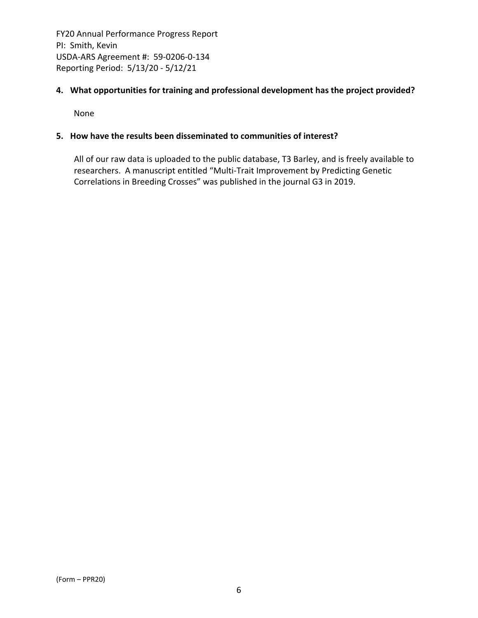## **4. What opportunities for training and professional development has the project provided?**

None

#### **5. How have the results been disseminated to communities of interest?**

All of our raw data is uploaded to the public database, T3 Barley, and is freely available to researchers. A manuscript entitled "Multi‐Trait Improvement by Predicting Genetic Correlations in Breeding Crosses" was published in the journal G3 in 2019.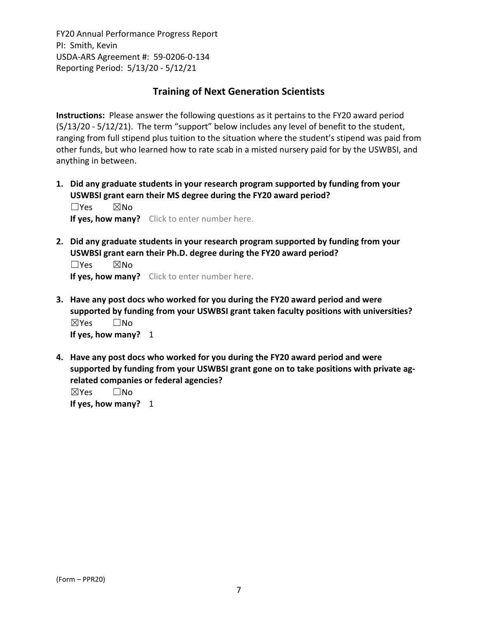# **Training of Next Generation Scientists**

**Instructions:** Please answer the following questions as it pertains to the FY20 award period (5/13/20 ‐ 5/12/21). The term "support" below includes any level of benefit to the student, ranging from full stipend plus tuition to the situation where the student's stipend was paid from other funds, but who learned how to rate scab in a misted nursery paid for by the USWBSI, and anything in between.

**1. Did any graduate students in your research program supported by funding from your USWBSI grant earn their MS degree during the FY20 award period?** ☐Yes ☒No

**If yes, how many?** Click to enter number here.

**2. Did any graduate students in your research program supported by funding from your USWBSI grant earn their Ph.D. degree during the FY20 award period?**

☐Yes ☒No **If yes, how many?** Click to enter number here.

- **3. Have any post docs who worked for you during the FY20 award period and were supported by funding from your USWBSI grant taken faculty positions with universities?** ☒Yes ☐No **If yes, how many?** 1
- **4. Have any post docs who worked for you during the FY20 award period and were supported by funding from your USWBSI grant gone on to take positions with private ag‐ related companies or federal agencies?**

☒Yes ☐No **If yes, how many?** 1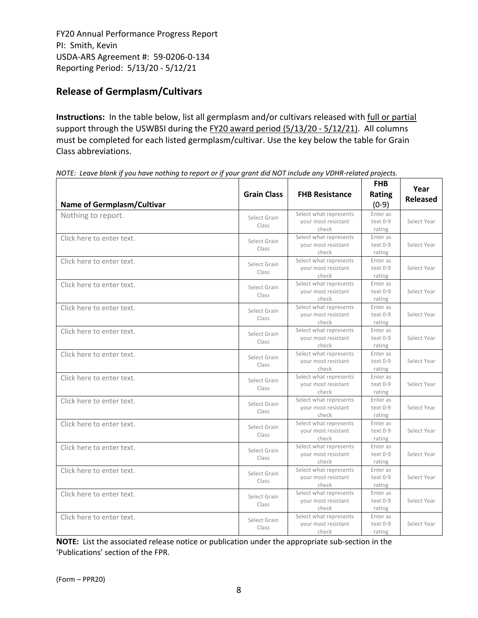# **Release of Germplasm/Cultivars**

**Instructions:** In the table below, list all germplasm and/or cultivars released with full or partial support through the USWBSI during the FY20 award period (5/13/20 - 5/12/21). All columns must be completed for each listed germplasm/cultivar. Use the key below the table for Grain Class abbreviations. 

| <b>Name of Germplasm/Cultivar</b> | <b>Grain Class</b>    | <b>FHB Resistance</b>                                  | <b>FHB</b><br><b>Rating</b><br>$(0-9)$ | Year<br><b>Released</b> |
|-----------------------------------|-----------------------|--------------------------------------------------------|----------------------------------------|-------------------------|
| Nothing to report.                | Select Grain<br>Class | Select what represents<br>your most resistant<br>check | Enter as<br>text 0-9<br>rating         | Select Year             |
| Click here to enter text.         | Select Grain<br>Class | Select what represents<br>your most resistant<br>check | Enter as<br>text 0-9<br>rating         | Select Year             |
| Click here to enter text.         | Select Grain<br>Class | Select what represents<br>your most resistant<br>check | Enter as<br>text 0-9<br>rating         | Select Year             |
| Click here to enter text.         | Select Grain<br>Class | Select what represents<br>your most resistant<br>check | Enter as<br>text 0-9<br>rating         | Select Year             |
| Click here to enter text.         | Select Grain<br>Class | Select what represents<br>your most resistant<br>check | Enter as<br>text 0-9<br>rating         | Select Year             |
| Click here to enter text.         | Select Grain<br>Class | Select what represents<br>your most resistant<br>check | Enter as<br>text 0-9<br>rating         | Select Year             |
| Click here to enter text.         | Select Grain<br>Class | Select what represents<br>your most resistant<br>check | Enter as<br>text 0-9<br>rating         | Select Year             |
| Click here to enter text.         | Select Grain<br>Class | Select what represents<br>your most resistant<br>check | Enter as<br>text 0-9<br>rating         | Select Year             |
| Click here to enter text.         | Select Grain<br>Class | Select what represents<br>your most resistant<br>check | Enter as<br>text 0-9<br>rating         | Select Year             |
| Click here to enter text.         | Select Grain<br>Class | Select what represents<br>your most resistant<br>check | Enter as<br>text 0-9<br>rating         | Select Year             |
| Click here to enter text.         | Select Grain<br>Class | Select what represents<br>your most resistant<br>check | Enter as<br>text 0-9<br>rating         | Select Year             |
| Click here to enter text.         | Select Grain<br>Class | Select what represents<br>your most resistant<br>check | Enter as<br>text 0-9<br>rating         | Select Year             |
| Click here to enter text.         | Select Grain<br>Class | Select what represents<br>your most resistant<br>check | Enter as<br>text 0-9<br>rating         | Select Year             |
| Click here to enter text.         | Select Grain<br>Class | Select what represents<br>your most resistant<br>check | Enter as<br>text 0-9<br>rating         | Select Year             |

NOTE: Leave blank if you have nothing to report or if your grant did NOT include any VDHR-related projects.

**NOTE:** List the associated release notice or publication under the appropriate sub-section in the 'Publications' section of the FPR.